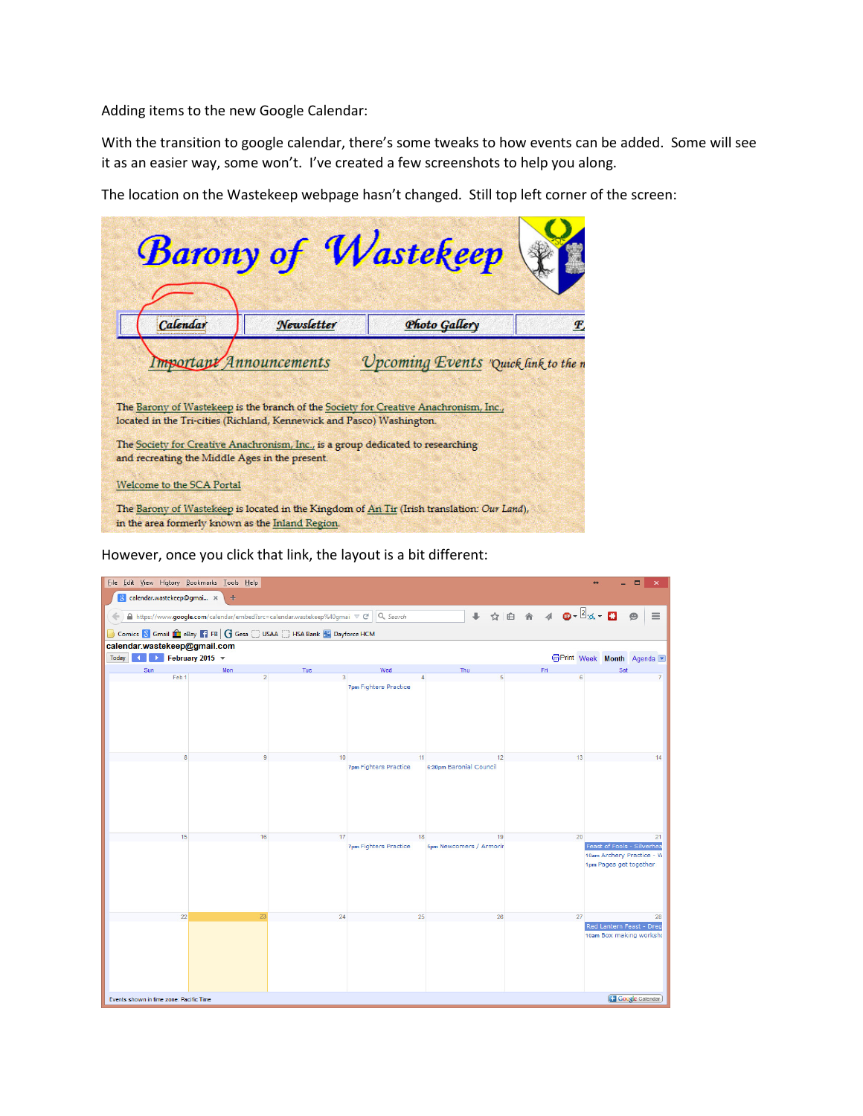Adding items to the new Google Calendar:

With the transition to google calendar, there's some tweaks to how events can be added. Some will see it as an easier way, some won't. I've created a few screenshots to help you along.

The location on the Wastekeep webpage hasn't changed. Still top left corner of the screen:

|                                                                                                                                                                                                                                  |            | <b>Barony of Wastekeep</b>                                                                 |   |  |  |
|----------------------------------------------------------------------------------------------------------------------------------------------------------------------------------------------------------------------------------|------------|--------------------------------------------------------------------------------------------|---|--|--|
| Calendar                                                                                                                                                                                                                         | Newsletter | Photo Gallery                                                                              | E |  |  |
| Important Announcements<br>Upcoming Events "Quick link to the n<br>The Barony of Wastekeep is the branch of the Society for Creative Anachronism, Inc.,<br>located in the Tri-cities (Richland, Kennewick and Pasco) Washington. |            |                                                                                            |   |  |  |
| The Society for Creative Anachronism, Inc., is a group dedicated to researching<br>and recreating the Middle Ages in the present.                                                                                                |            |                                                                                            |   |  |  |
| Welcome to the SCA Portal                                                                                                                                                                                                        |            |                                                                                            |   |  |  |
| in the area formerly known as the Inland Region.                                                                                                                                                                                 |            | The Barony of Wastekeep is located in the Kingdom of An Tir (Irish translation: Our Land), |   |  |  |

However, once you click that link, the layout is a bit different:

| File Edit View History Bookmarks Tools Help |                                                                                              |     |                              |                         |                       | $\Box$<br>$\pmb{\times}$                                                          |
|---------------------------------------------|----------------------------------------------------------------------------------------------|-----|------------------------------|-------------------------|-----------------------|-----------------------------------------------------------------------------------|
| 8 calendar.wastekeep@gmai x                 | $+$                                                                                          |     |                              |                         |                       |                                                                                   |
|                                             | A https://www.google.com/calendar/embed?src=calendar.wastekeep%40gmai ▽ C' Q Search          |     |                              |                         | + ☆ 自 合 イ ● - 2 d - B | Θ                                                                                 |
|                                             |                                                                                              |     |                              |                         |                       |                                                                                   |
| calendar.wastekeep@gmail.com                | Comics & Gmail <b>for</b> eBay <b>F1</b> FB   G Gesa   USAA   HSA Bank <b>3</b> Dayforce HCM |     |                              |                         |                       |                                                                                   |
| Today 1   February 2015 v                   |                                                                                              |     |                              |                         |                       | <b>D</b> Print Week Month Agenda                                                  |
| Sun                                         | Mon                                                                                          | Tue | Wed                          | Thu                     | Fri                   | Sat                                                                               |
| Feb 1                                       |                                                                                              |     |                              |                         |                       |                                                                                   |
|                                             |                                                                                              |     | <b>7pm Fighters Practice</b> |                         |                       |                                                                                   |
|                                             |                                                                                              | 10  | -11                          | 12                      |                       | 14                                                                                |
|                                             |                                                                                              |     | <b>7pm Fighters Practice</b> | 6:30pm Baronial Council |                       |                                                                                   |
| 15                                          | 16                                                                                           | 17  | 18                           | 19                      | 20                    | 21                                                                                |
|                                             |                                                                                              |     | <b>7pm Fighters Practice</b> | 5pm Newcomers / Armorir |                       | Feast of Fools - Silverhea<br>10am Archery Practice - W<br>1pm Pages get together |
| 22                                          | 23                                                                                           | 24  | 25                           | 26                      | 27                    | 28<br>Red Lantern Feast - Dreg                                                    |
|                                             |                                                                                              |     |                              |                         |                       | 10am Box making worksho                                                           |
|                                             | <b>Google</b> Calendar<br>Events shown in time zone: Pacific Time                            |     |                              |                         |                       |                                                                                   |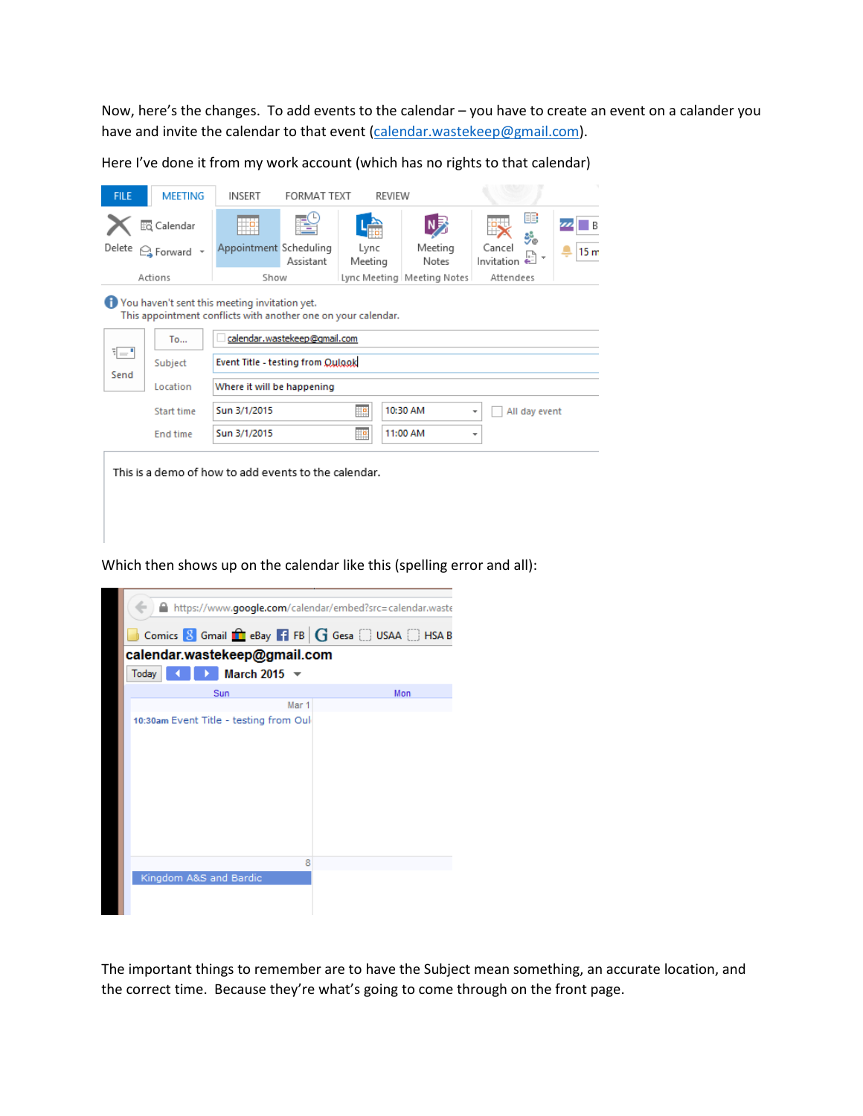Now, here's the changes. To add events to the calendar – you have to create an event on a calander you have and invite the calendar to that event (calendar.wastekeep@gmail.com).

Here I've done it from my work account (which has no rights to that calendar)

| <b>FILE</b>                                                                                                    | <b>MEETING</b>                                       | <b>INSERT</b>                     | <b>FORMAT TEXT</b> | <b>REVIEW</b>   |                              |                                           |                 |
|----------------------------------------------------------------------------------------------------------------|------------------------------------------------------|-----------------------------------|--------------------|-----------------|------------------------------|-------------------------------------------|-----------------|
|                                                                                                                | <b>Ed</b> Calendar                                   | ĦP                                |                    |                 |                              | HE<br>ೊ                                   |                 |
| Delete                                                                                                         | G Forward +                                          | Appointment Scheduling            | Assistant          | Lync<br>Meeting | Meeting<br>Notes             | Cancel<br>Invitation                      | 15 <sub>m</sub> |
|                                                                                                                | Actions                                              | Show                              |                    |                 | Lync Meeting   Meeting Notes | Attendees                                 |                 |
| You haven't sent this meeting invitation yet.<br>This appointment conflicts with another one on your calendar. |                                                      |                                   |                    |                 |                              |                                           |                 |
|                                                                                                                | To                                                   | calendar.wastekeep@gmail.com      |                    |                 |                              |                                           |                 |
| 1="<br>Send                                                                                                    | Subject                                              | Event Title - testing from Qulook |                    |                 |                              |                                           |                 |
|                                                                                                                | Location                                             | Where it will be happening        |                    |                 |                              |                                           |                 |
|                                                                                                                | <b>Start time</b>                                    | Sun 3/1/2015                      |                    | Ħ₽              | 10:30 AM                     | All day event<br>$\overline{\phantom{a}}$ |                 |
|                                                                                                                | <b>End time</b>                                      | Sun 3/1/2015                      |                    | <u>ilia</u>     | 11:00 AM                     | $\scriptstyle\rm w$                       |                 |
|                                                                                                                | This is a demo of how to add events to the calendar. |                                   |                    |                 |                              |                                           |                 |

Which then shows up on the calendar like this (spelling error and all):



The important things to remember are to have the Subject mean something, an accurate location, and the correct time. Because they're what's going to come through on the front page.